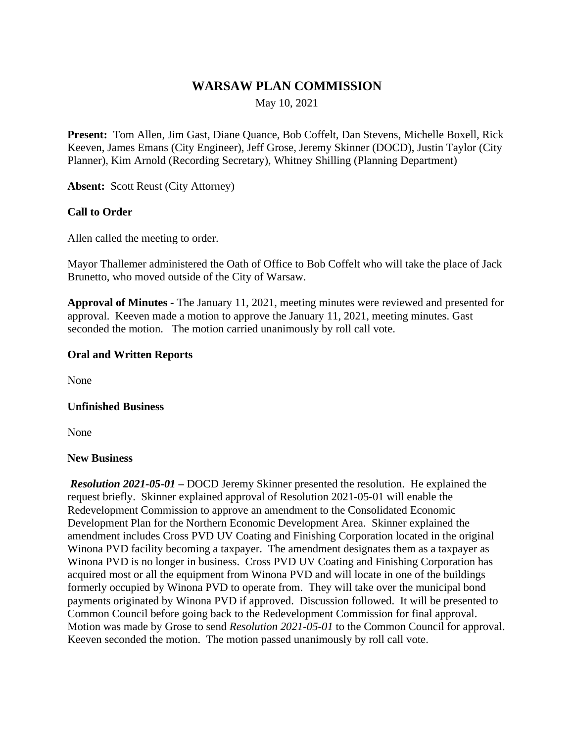# **WARSAW PLAN COMMISSION**

May 10, 2021

**Present:** Tom Allen, Jim Gast, Diane Quance, Bob Coffelt, Dan Stevens, Michelle Boxell, Rick Keeven, James Emans (City Engineer), Jeff Grose, Jeremy Skinner (DOCD), Justin Taylor (City Planner), Kim Arnold (Recording Secretary), Whitney Shilling (Planning Department)

**Absent:** Scott Reust (City Attorney)

## **Call to Order**

Allen called the meeting to order.

Mayor Thallemer administered the Oath of Office to Bob Coffelt who will take the place of Jack Brunetto, who moved outside of the City of Warsaw.

**Approval of Minutes -** The January 11, 2021, meeting minutes were reviewed and presented for approval. Keeven made a motion to approve the January 11, 2021, meeting minutes. Gast seconded the motion. The motion carried unanimously by roll call vote.

### **Oral and Written Reports**

None

## **Unfinished Business**

None

#### **New Business**

*Resolution 2021-05-01 –* DOCD Jeremy Skinner presented the resolution. He explained the request briefly. Skinner explained approval of Resolution 2021-05-01 will enable the Redevelopment Commission to approve an amendment to the Consolidated Economic Development Plan for the Northern Economic Development Area. Skinner explained the amendment includes Cross PVD UV Coating and Finishing Corporation located in the original Winona PVD facility becoming a taxpayer. The amendment designates them as a taxpayer as Winona PVD is no longer in business. Cross PVD UV Coating and Finishing Corporation has acquired most or all the equipment from Winona PVD and will locate in one of the buildings formerly occupied by Winona PVD to operate from. They will take over the municipal bond payments originated by Winona PVD if approved. Discussion followed. It will be presented to Common Council before going back to the Redevelopment Commission for final approval. Motion was made by Grose to send *Resolution 2021-05-01* to the Common Council for approval. Keeven seconded the motion. The motion passed unanimously by roll call vote.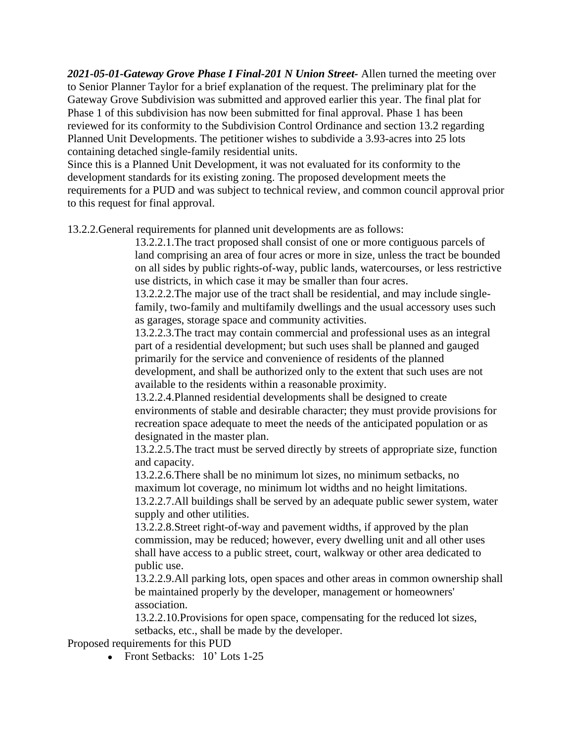*2021-05-01-Gateway Grove Phase I Final-201 N Union Street-* Allen turned the meeting over to Senior Planner Taylor for a brief explanation of the request. The preliminary plat for the Gateway Grove Subdivision was submitted and approved earlier this year. The final plat for Phase 1 of this subdivision has now been submitted for final approval. Phase 1 has been reviewed for its conformity to the Subdivision Control Ordinance and section 13.2 regarding Planned Unit Developments. The petitioner wishes to subdivide a 3.93-acres into 25 lots containing detached single-family residential units.

Since this is a Planned Unit Development, it was not evaluated for its conformity to the development standards for its existing zoning. The proposed development meets the requirements for a PUD and was subject to technical review, and common council approval prior to this request for final approval.

13.2.2.General requirements for planned unit developments are as follows:

13.2.2.1.The tract proposed shall consist of one or more contiguous parcels of land comprising an area of four acres or more in size, unless the tract be bounded on all sides by public rights-of-way, public lands, watercourses, or less restrictive use districts, in which case it may be smaller than four acres.

13.2.2.2.The major use of the tract shall be residential, and may include singlefamily, two-family and multifamily dwellings and the usual accessory uses such as garages, storage space and community activities.

13.2.2.3.The tract may contain commercial and professional uses as an integral part of a residential development; but such uses shall be planned and gauged primarily for the service and convenience of residents of the planned development, and shall be authorized only to the extent that such uses are not available to the residents within a reasonable proximity.

13.2.2.4.Planned residential developments shall be designed to create environments of stable and desirable character; they must provide provisions for recreation space adequate to meet the needs of the anticipated population or as designated in the master plan.

13.2.2.5.The tract must be served directly by streets of appropriate size, function and capacity.

13.2.2.6.There shall be no minimum lot sizes, no minimum setbacks, no maximum lot coverage, no minimum lot widths and no height limitations. 13.2.2.7.All buildings shall be served by an adequate public sewer system, water supply and other utilities.

13.2.2.8.Street right-of-way and pavement widths, if approved by the plan commission, may be reduced; however, every dwelling unit and all other uses shall have access to a public street, court, walkway or other area dedicated to public use.

13.2.2.9.All parking lots, open spaces and other areas in common ownership shall be maintained properly by the developer, management or homeowners' association.

13.2.2.10.Provisions for open space, compensating for the reduced lot sizes, setbacks, etc., shall be made by the developer.

Proposed requirements for this PUD

• Front Setbacks: 10' Lots 1-25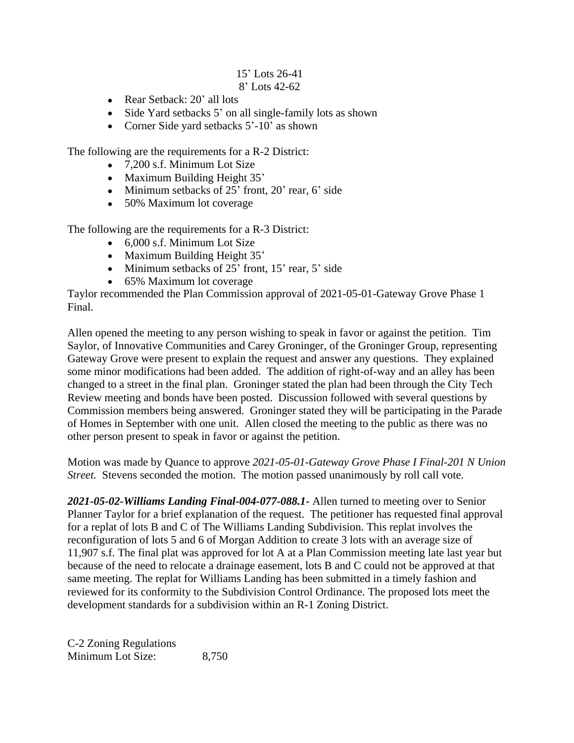# 15' Lots 26-41

# 8' Lots 42-62

- Rear Setback: 20' all lots
- Side Yard setbacks 5' on all single-family lots as shown
- Corner Side yard setbacks 5'-10' as shown

The following are the requirements for a R-2 District:

- 7,200 s.f. Minimum Lot Size
- Maximum Building Height 35'
- Minimum setbacks of 25' front, 20' rear, 6' side
- 50% Maximum lot coverage

The following are the requirements for a R-3 District:

- 6,000 s.f. Minimum Lot Size
- Maximum Building Height 35'
- $\bullet$  Minimum setbacks of 25' front, 15' rear, 5' side
- 65% Maximum lot coverage

Taylor recommended the Plan Commission approval of 2021-05-01-Gateway Grove Phase 1 Final.

Allen opened the meeting to any person wishing to speak in favor or against the petition. Tim Saylor, of Innovative Communities and Carey Groninger, of the Groninger Group, representing Gateway Grove were present to explain the request and answer any questions. They explained some minor modifications had been added. The addition of right-of-way and an alley has been changed to a street in the final plan. Groninger stated the plan had been through the City Tech Review meeting and bonds have been posted. Discussion followed with several questions by Commission members being answered. Groninger stated they will be participating in the Parade of Homes in September with one unit. Allen closed the meeting to the public as there was no other person present to speak in favor or against the petition.

Motion was made by Quance to approve *2021-05-01-Gateway Grove Phase I Final-201 N Union Street.* Stevens seconded the motion. The motion passed unanimously by roll call vote.

*2021-05-02-Williams Landing Final-004-077-088.1-* Allen turned to meeting over to Senior Planner Taylor for a brief explanation of the request. The petitioner has requested final approval for a replat of lots B and C of The Williams Landing Subdivision. This replat involves the reconfiguration of lots 5 and 6 of Morgan Addition to create 3 lots with an average size of 11,907 s.f. The final plat was approved for lot A at a Plan Commission meeting late last year but because of the need to relocate a drainage easement, lots B and C could not be approved at that same meeting. The replat for Williams Landing has been submitted in a timely fashion and reviewed for its conformity to the Subdivision Control Ordinance. The proposed lots meet the development standards for a subdivision within an R-1 Zoning District.

C-2 Zoning Regulations Minimum Lot Size: 8,750